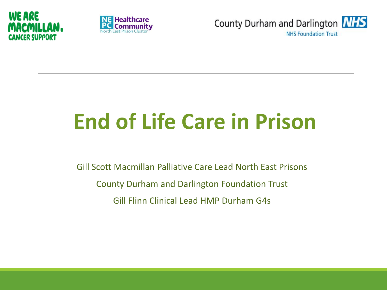





**NHS Foundation Trust** 

## **End of Life Care in Prison**

Gill Scott Macmillan Palliative Care Lead North East Prisons County Durham and Darlington Foundation Trust Gill Flinn Clinical Lead HMP Durham G4s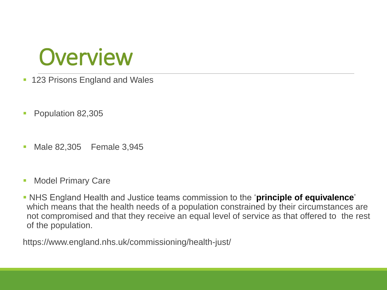

- **123 Prisons England and Wales**
- Population 82,305
- **Male 82,305 Female 3,945**
- **Nodel Primary Care**
- NHS England Health and Justice teams commission to the '**principle of equivalence**' which means that the health needs of a population constrained by their circumstances are not compromised and that they receive an equal level of service as that offered to the rest of the population.

https://www.england.nhs.uk/commissioning/health-just/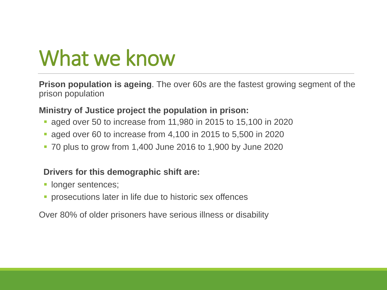### What we know

**Prison population is ageing**. The over 60s are the fastest growing segment of the prison population

#### **Ministry of Justice project the population in prison:**

- aged over 50 to increase from 11,980 in 2015 to 15,100 in 2020
- aged over 60 to increase from 4,100 in 2015 to 5,500 in 2020
- 70 plus to grow from 1,400 June 2016 to 1,900 by June 2020

#### **Drivers for this demographic shift are:**

- **Ionger sentences;**
- **PEDECE THE PROSECUTIONS INTER In Life due to historic sex offences**

Over 80% of older prisoners have serious illness or disability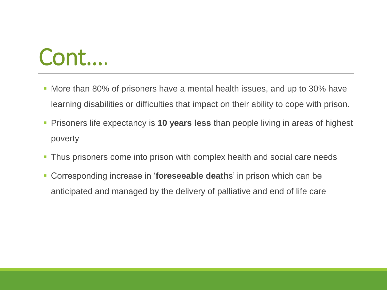## Cont….

- **More than 80% of prisoners have a mental health issues, and up to 30% have** learning disabilities or difficulties that impact on their ability to cope with prison.
- **Prisoners life expectancy is 10 years less** than people living in areas of highest poverty
- Thus prisoners come into prison with complex health and social care needs
- Corresponding increase in '**foreseeable death**s' in prison which can be anticipated and managed by the delivery of palliative and end of life care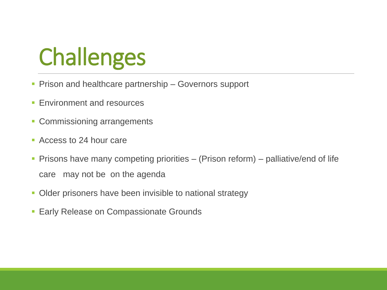# **Challenges**

- **Prison and healthcare partnership Governors support**
- **Environment and resources**
- **Commissioning arrangements**
- **Access to 24 hour care**
- **Prisons have many competing priorities (Prison reform) palliative/end of life** care may not be on the agenda
- **Older prisoners have been invisible to national strategy**
- **Early Release on Compassionate Grounds**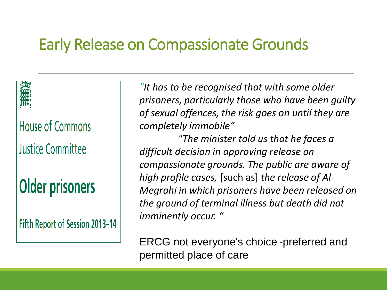### Early Release on Compassionate Grounds



**House of Commons** 

**Justice Committee** 

### **Older prisoners**

Fifth Report of Session 2013-14

*"It has to be recognised that with some older prisoners, particularly those who have been guilty of sexual offences, the risk goes on until they are completely immobile"*

*"The minister told us that he faces a difficult decision in approving release on compassionate grounds. The public are aware of high profile cases,* [such as] *the release of Al-Megrahi in which prisoners have been released on the ground of terminal illness but death did not imminently occur. "*

ERCG not everyone's choice *-*preferred and permitted place of care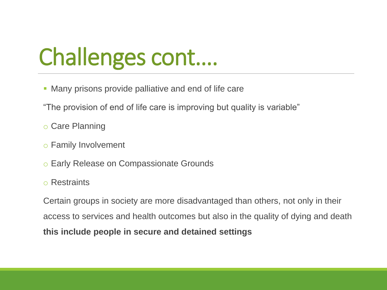# Challenges cont….

- **Many prisons provide palliative and end of life care**
- "The provision of end of life care is improving but quality is variable"
- o Care Planning
- o Family Involvement
- o Early Release on Compassionate Grounds
- o Restraints

Certain groups in society are more disadvantaged than others, not only in their access to services and health outcomes but also in the quality of dying and death **this include people in secure and detained settings**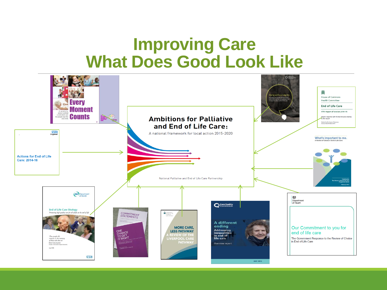### **Improving Care What Does Good Look Like**

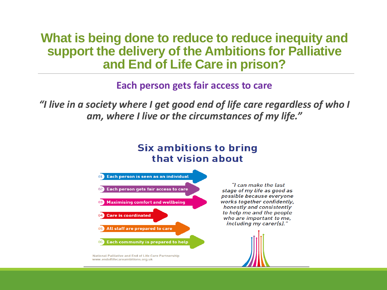#### **What is being done to reduce to reduce inequity and support the delivery of the Ambitions for Palliative and End of Life Care in prison?**

#### **Each person gets fair access to care**

*"I live in a society where I get good end of life care regardless of who I am, where I live or the circumstances of my life."*

#### **Six ambitions to bring** that vision about

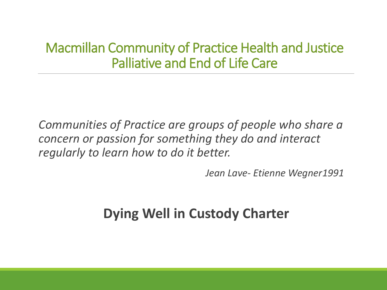### Macmillan Community of Practice Health and Justice Palliative and End of Life Care

*Communities of Practice are groups of people who share a concern or passion for something they do and interact regularly to learn how to do it better.* 

 *Jean Lave- Etienne Wegner1991*

### **Dying Well in Custody Charter**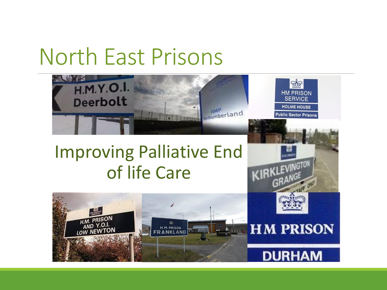### North East Prisons



### Improving Palliative End of life Care





KIRKLEVINGTON

**Riv**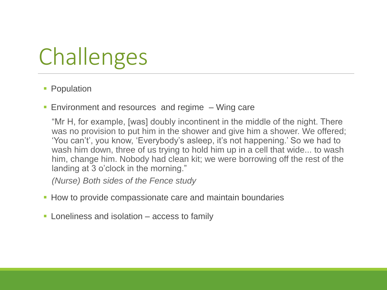# **Challenges**

#### **Population**

Environment and resources and regime – Wing care

"Mr H, for example, [was] doubly incontinent in the middle of the night. There was no provision to put him in the shower and give him a shower. We offered; 'You can't', you know, 'Everybody's asleep, it's not happening.' So we had to wash him down, three of us trying to hold him up in a cell that wide... to wash him, change him. Nobody had clean kit; we were borrowing off the rest of the landing at 3 o'clock in the morning."

*(Nurse) Both sides of the Fence study*

- **How to provide compassionate care and maintain boundaries**
- **-** Loneliness and isolation access to family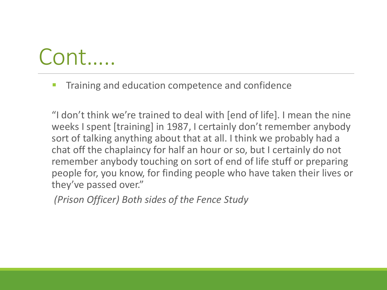## Cont….

**Training and education competence and confidence** 

"I don't think we're trained to deal with [end of life]. I mean the nine weeks I spent [training] in 1987, I certainly don't remember anybody sort of talking anything about that at all. I think we probably had a chat off the chaplaincy for half an hour or so, but I certainly do not remember anybody touching on sort of end of life stuff or preparing people for, you know, for finding people who have taken their lives or they've passed over."

*(Prison Officer) Both sides of the Fence Study*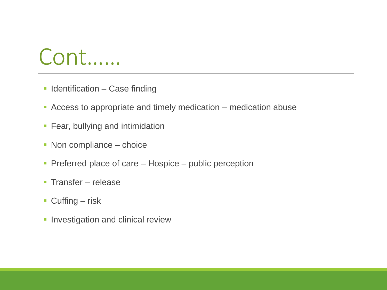### Cont……

- $\blacksquare$  Identification Case finding
- Access to appropriate and timely medication medication abuse
- **Fear, bullying and intimidation**
- Non compliance choice
- **Preferred place of care Hospice public perception**
- **Transfer** release
- Cuffing risk
- **Investigation and clinical review**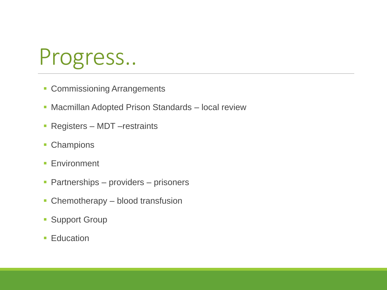## Progress..

- **Commissioning Arrangements**
- Macmillan Adopted Prison Standards local review
- Registers MDT –restraints
- **Champions**
- **Environment**
- **Partnerships providers prisoners**
- Chemotherapy blood transfusion
- **Support Group**
- **Education**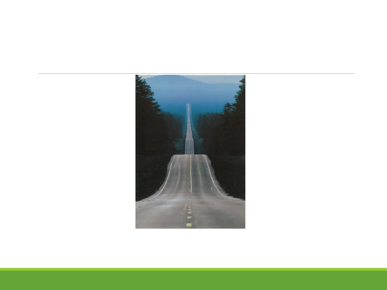